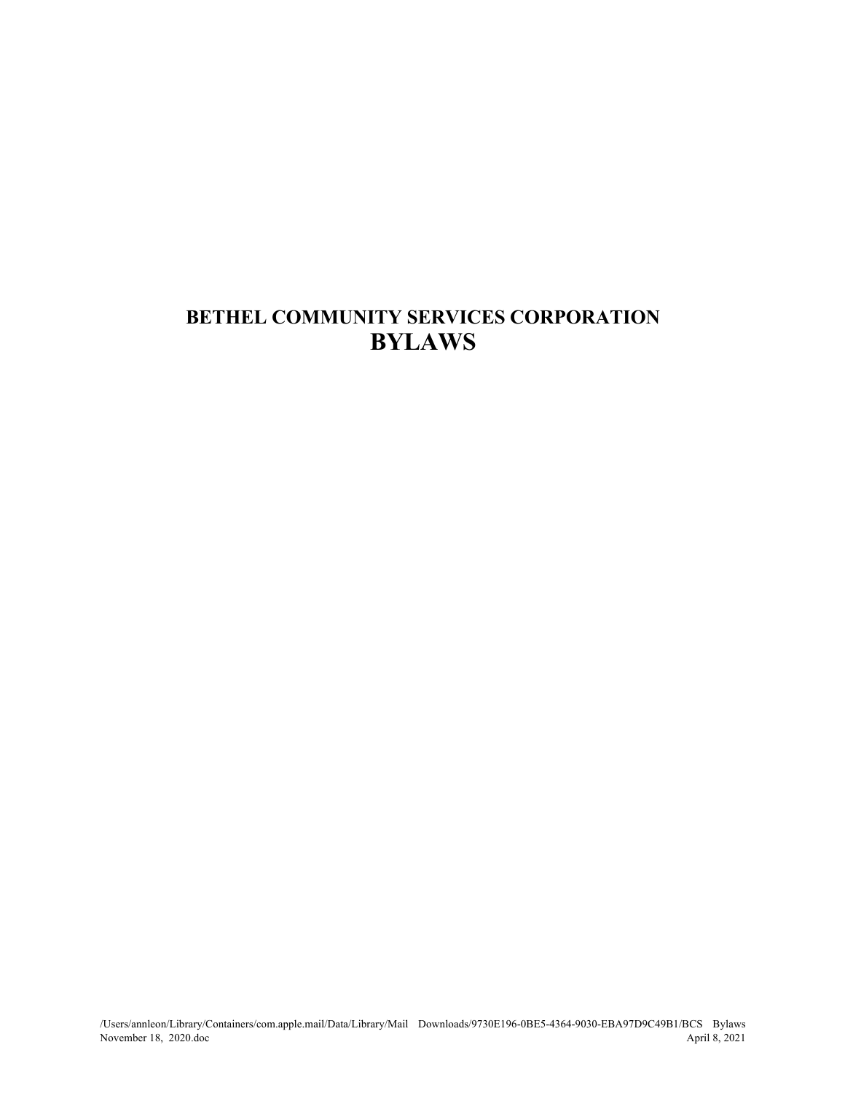# **BETHEL COMMUNITY SERVICES CORPORATION BYLAWS**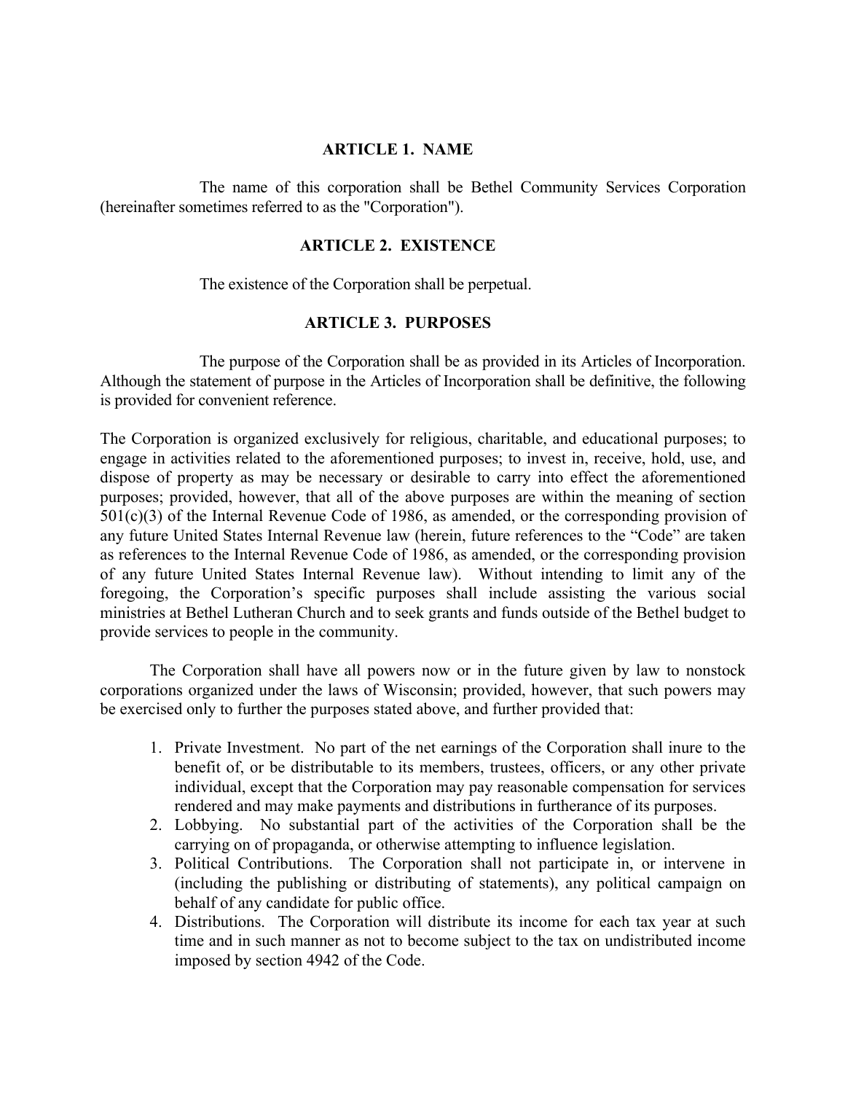## **ARTICLE 1. NAME**

The name of this corporation shall be Bethel Community Services Corporation (hereinafter sometimes referred to as the "Corporation").

#### **ARTICLE 2. EXISTENCE**

The existence of the Corporation shall be perpetual.

## **ARTICLE 3. PURPOSES**

The purpose of the Corporation shall be as provided in its Articles of Incorporation. Although the statement of purpose in the Articles of Incorporation shall be definitive, the following is provided for convenient reference.

The Corporation is organized exclusively for religious, charitable, and educational purposes; to engage in activities related to the aforementioned purposes; to invest in, receive, hold, use, and dispose of property as may be necessary or desirable to carry into effect the aforementioned purposes; provided, however, that all of the above purposes are within the meaning of section 501(c)(3) of the Internal Revenue Code of 1986, as amended, or the corresponding provision of any future United States Internal Revenue law (herein, future references to the "Code" are taken as references to the Internal Revenue Code of 1986, as amended, or the corresponding provision of any future United States Internal Revenue law). Without intending to limit any of the foregoing, the Corporation's specific purposes shall include assisting the various social ministries at Bethel Lutheran Church and to seek grants and funds outside of the Bethel budget to provide services to people in the community.

The Corporation shall have all powers now or in the future given by law to nonstock corporations organized under the laws of Wisconsin; provided, however, that such powers may be exercised only to further the purposes stated above, and further provided that:

- 1. Private Investment. No part of the net earnings of the Corporation shall inure to the benefit of, or be distributable to its members, trustees, officers, or any other private individual, except that the Corporation may pay reasonable compensation for services rendered and may make payments and distributions in furtherance of its purposes.
- 2. Lobbying. No substantial part of the activities of the Corporation shall be the carrying on of propaganda, or otherwise attempting to influence legislation.
- 3. Political Contributions. The Corporation shall not participate in, or intervene in (including the publishing or distributing of statements), any political campaign on behalf of any candidate for public office.
- 4. Distributions. The Corporation will distribute its income for each tax year at such time and in such manner as not to become subject to the tax on undistributed income imposed by section 4942 of the Code.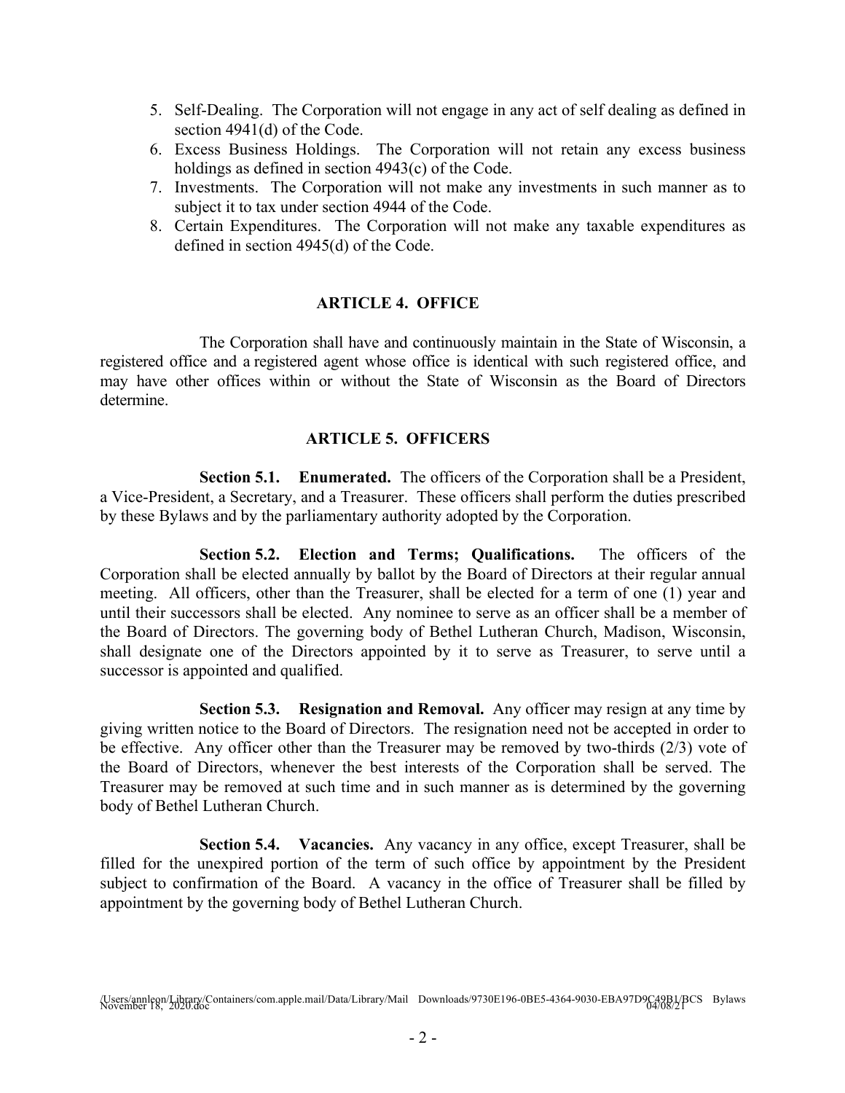- 5. Self-Dealing. The Corporation will not engage in any act of self dealing as defined in section 4941(d) of the Code.
- 6. Excess Business Holdings. The Corporation will not retain any excess business holdings as defined in section 4943(c) of the Code.
- 7. Investments. The Corporation will not make any investments in such manner as to subject it to tax under section 4944 of the Code.
- 8. Certain Expenditures. The Corporation will not make any taxable expenditures as defined in section 4945(d) of the Code.

## **ARTICLE 4. OFFICE**

The Corporation shall have and continuously maintain in the State of Wisconsin, a registered office and a registered agent whose office is identical with such registered office, and may have other offices within or without the State of Wisconsin as the Board of Directors determine.

## **ARTICLE 5. OFFICERS**

**Section 5.1. Enumerated.** The officers of the Corporation shall be a President, a Vice-President, a Secretary, and a Treasurer. These officers shall perform the duties prescribed by these Bylaws and by the parliamentary authority adopted by the Corporation.

**Section 5.2. Election and Terms; Qualifications.** The officers of the Corporation shall be elected annually by ballot by the Board of Directors at their regular annual meeting. All officers, other than the Treasurer, shall be elected for a term of one (1) year and until their successors shall be elected. Any nominee to serve as an officer shall be a member of the Board of Directors. The governing body of Bethel Lutheran Church, Madison, Wisconsin, shall designate one of the Directors appointed by it to serve as Treasurer, to serve until a successor is appointed and qualified.

**Section 5.3. Resignation and Removal.** Any officer may resign at any time by giving written notice to the Board of Directors. The resignation need not be accepted in order to be effective. Any officer other than the Treasurer may be removed by two-thirds (2/3) vote of the Board of Directors, whenever the best interests of the Corporation shall be served. The Treasurer may be removed at such time and in such manner as is determined by the governing body of Bethel Lutheran Church.

**Section 5.4. Vacancies.** Any vacancy in any office, except Treasurer, shall be filled for the unexpired portion of the term of such office by appointment by the President subject to confirmation of the Board. A vacancy in the office of Treasurer shall be filled by appointment by the governing body of Bethel Lutheran Church.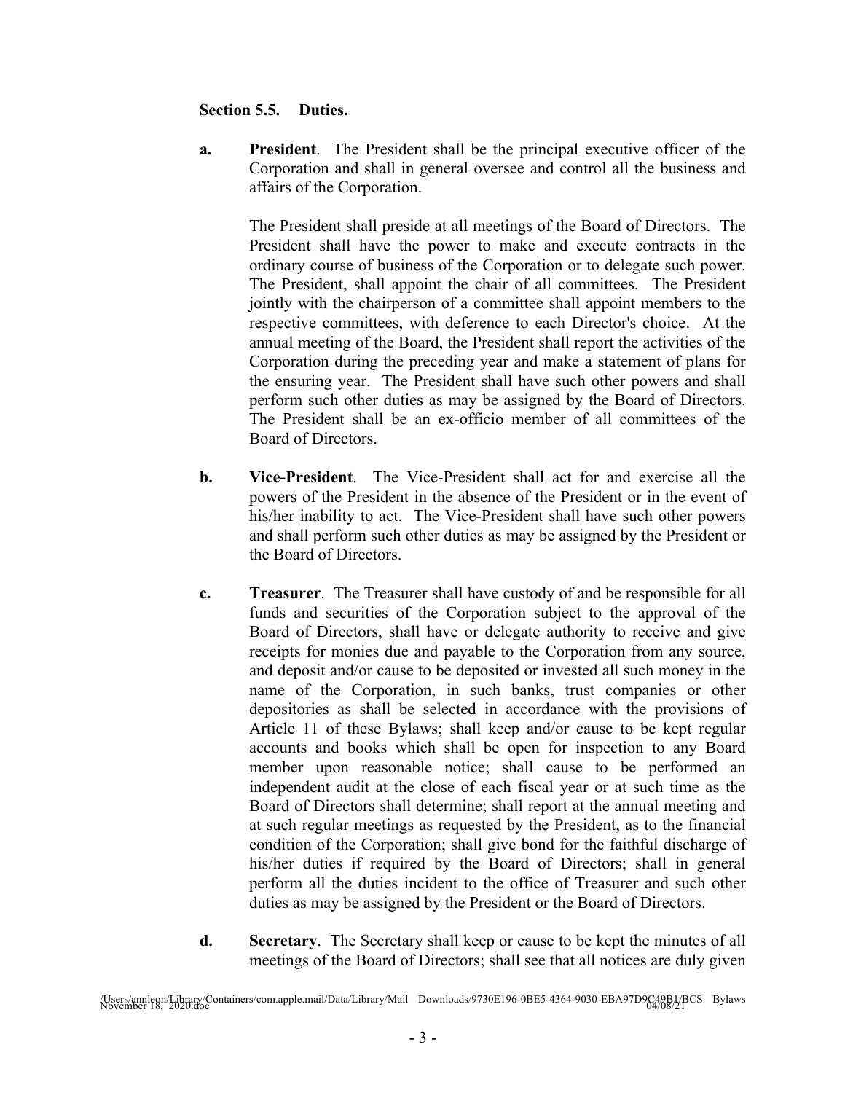## **Section 5.5. Duties.**

**a. President**. The President shall be the principal executive officer of the Corporation and shall in general oversee and control all the business and affairs of the Corporation.

The President shall preside at all meetings of the Board of Directors. The President shall have the power to make and execute contracts in the ordinary course of business of the Corporation or to delegate such power. The President, shall appoint the chair of all committees. The President jointly with the chairperson of a committee shall appoint members to the respective committees, with deference to each Director's choice. At the annual meeting of the Board, the President shall report the activities of the Corporation during the preceding year and make a statement of plans for the ensuring year. The President shall have such other powers and shall perform such other duties as may be assigned by the Board of Directors. The President shall be an ex-officio member of all committees of the Board of Directors.

- **b. Vice-President**. The Vice-President shall act for and exercise all the powers of the President in the absence of the President or in the event of his/her inability to act. The Vice-President shall have such other powers and shall perform such other duties as may be assigned by the President or the Board of Directors.
- **c. Treasurer**. The Treasurer shall have custody of and be responsible for all funds and securities of the Corporation subject to the approval of the Board of Directors, shall have or delegate authority to receive and give receipts for monies due and payable to the Corporation from any source, and deposit and/or cause to be deposited or invested all such money in the name of the Corporation, in such banks, trust companies or other depositories as shall be selected in accordance with the provisions of Article 11 of these Bylaws; shall keep and/or cause to be kept regular accounts and books which shall be open for inspection to any Board member upon reasonable notice; shall cause to be performed an independent audit at the close of each fiscal year or at such time as the Board of Directors shall determine; shall report at the annual meeting and at such regular meetings as requested by the President, as to the financial condition of the Corporation; shall give bond for the faithful discharge of his/her duties if required by the Board of Directors; shall in general perform all the duties incident to the office of Treasurer and such other duties as may be assigned by the President or the Board of Directors.
- **d. Secretary**. The Secretary shall keep or cause to be kept the minutes of all meetings of the Board of Directors; shall see that all notices are duly given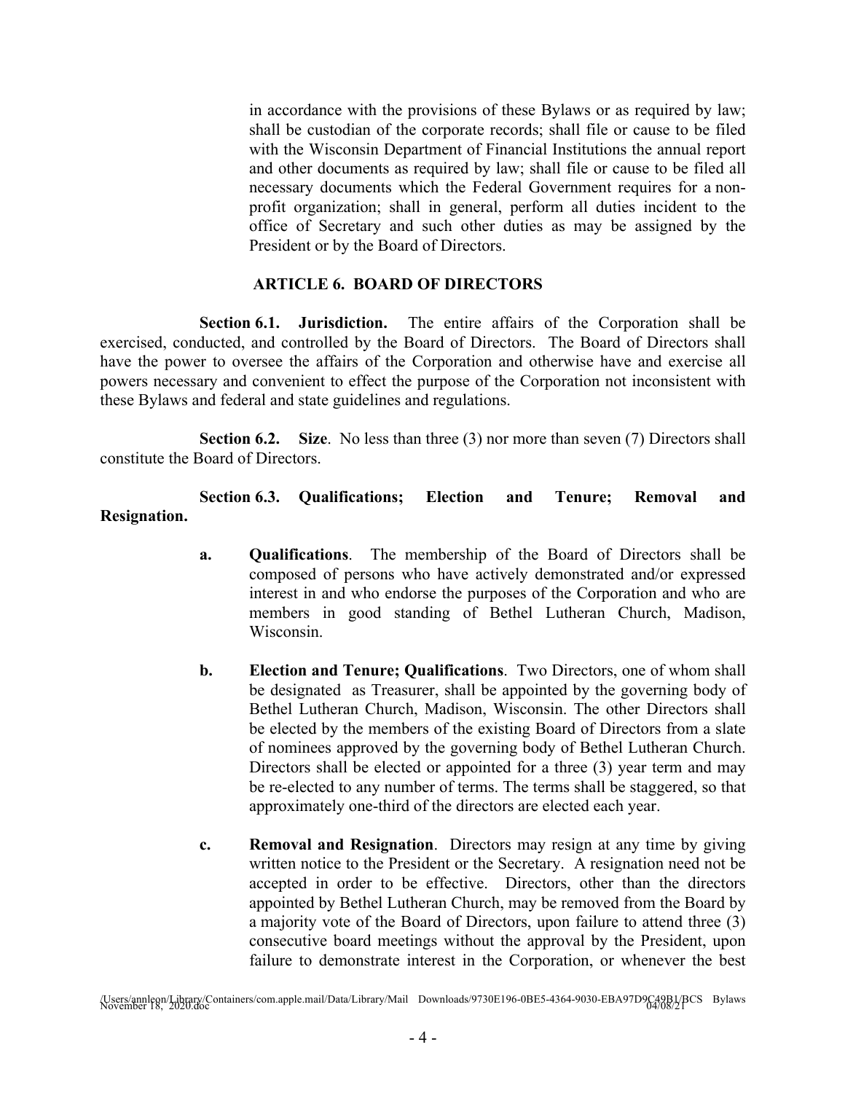in accordance with the provisions of these Bylaws or as required by law; shall be custodian of the corporate records; shall file or cause to be filed with the Wisconsin Department of Financial Institutions the annual report and other documents as required by law; shall file or cause to be filed all necessary documents which the Federal Government requires for a nonprofit organization; shall in general, perform all duties incident to the office of Secretary and such other duties as may be assigned by the President or by the Board of Directors.

## **ARTICLE 6. BOARD OF DIRECTORS**

**Section 6.1. Jurisdiction.** The entire affairs of the Corporation shall be exercised, conducted, and controlled by the Board of Directors. The Board of Directors shall have the power to oversee the affairs of the Corporation and otherwise have and exercise all powers necessary and convenient to effect the purpose of the Corporation not inconsistent with these Bylaws and federal and state guidelines and regulations.

**Section 6.2. Size**. No less than three (3) nor more than seven (7) Directors shall constitute the Board of Directors.

**Section 6.3. Qualifications; Election and Tenure; Removal and Resignation.**

- **a. Qualifications**. The membership of the Board of Directors shall be composed of persons who have actively demonstrated and/or expressed interest in and who endorse the purposes of the Corporation and who are members in good standing of Bethel Lutheran Church, Madison, Wisconsin.
- **b. Election and Tenure; Qualifications**. Two Directors, one of whom shall be designated as Treasurer, shall be appointed by the governing body of Bethel Lutheran Church, Madison, Wisconsin. The other Directors shall be elected by the members of the existing Board of Directors from a slate of nominees approved by the governing body of Bethel Lutheran Church. Directors shall be elected or appointed for a three (3) year term and may be re-elected to any number of terms. The terms shall be staggered, so that approximately one-third of the directors are elected each year.
- **c. Removal and Resignation**. Directors may resign at any time by giving written notice to the President or the Secretary. A resignation need not be accepted in order to be effective. Directors, other than the directors appointed by Bethel Lutheran Church, may be removed from the Board by a majority vote of the Board of Directors, upon failure to attend three (3) consecutive board meetings without the approval by the President, upon failure to demonstrate interest in the Corporation, or whenever the best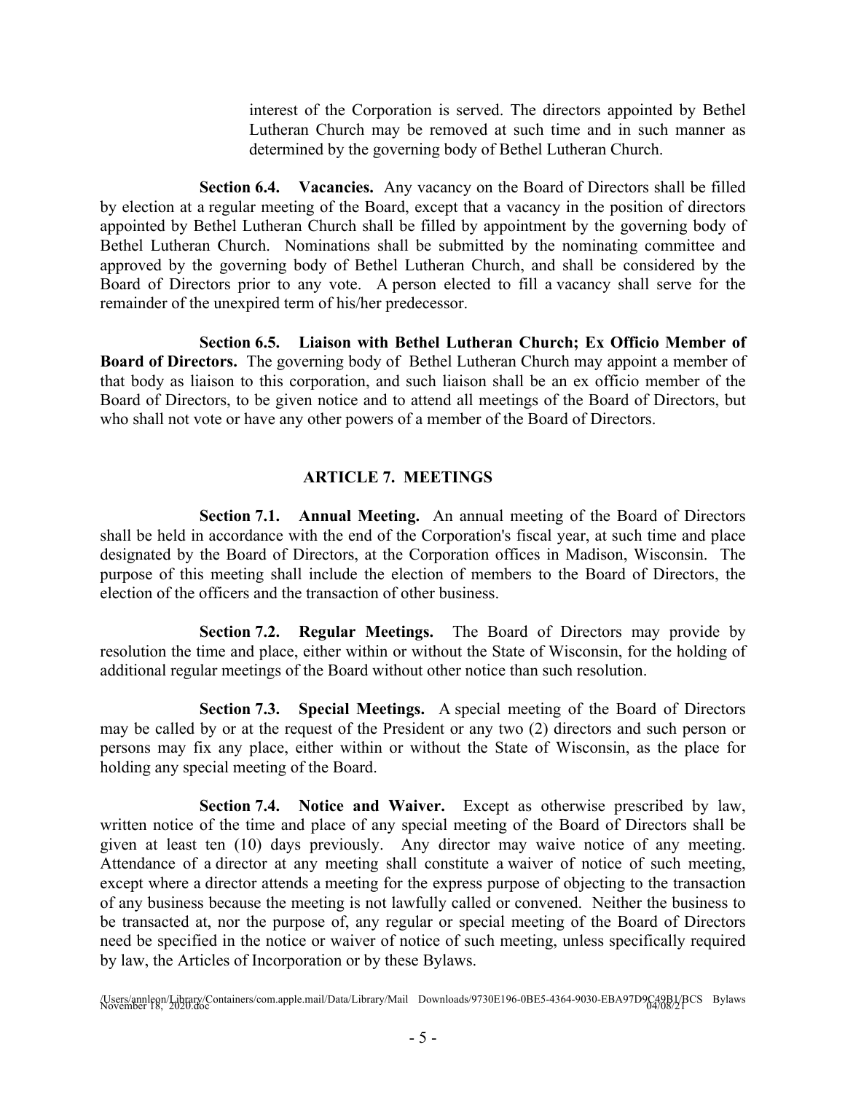interest of the Corporation is served. The directors appointed by Bethel Lutheran Church may be removed at such time and in such manner as determined by the governing body of Bethel Lutheran Church.

**Section 6.4. Vacancies.** Any vacancy on the Board of Directors shall be filled by election at a regular meeting of the Board, except that a vacancy in the position of directors appointed by Bethel Lutheran Church shall be filled by appointment by the governing body of Bethel Lutheran Church. Nominations shall be submitted by the nominating committee and approved by the governing body of Bethel Lutheran Church, and shall be considered by the Board of Directors prior to any vote. A person elected to fill a vacancy shall serve for the remainder of the unexpired term of his/her predecessor.

**Section 6.5. Liaison with Bethel Lutheran Church; Ex Officio Member of Board of Directors.** The governing body of Bethel Lutheran Church may appoint a member of that body as liaison to this corporation, and such liaison shall be an ex officio member of the Board of Directors, to be given notice and to attend all meetings of the Board of Directors, but who shall not vote or have any other powers of a member of the Board of Directors.

#### **ARTICLE 7. MEETINGS**

**Section 7.1. Annual Meeting.** An annual meeting of the Board of Directors shall be held in accordance with the end of the Corporation's fiscal year, at such time and place designated by the Board of Directors, at the Corporation offices in Madison, Wisconsin. The purpose of this meeting shall include the election of members to the Board of Directors, the election of the officers and the transaction of other business.

**Section 7.2. Regular Meetings.** The Board of Directors may provide by resolution the time and place, either within or without the State of Wisconsin, for the holding of additional regular meetings of the Board without other notice than such resolution.

**Section 7.3. Special Meetings.** A special meeting of the Board of Directors may be called by or at the request of the President or any two (2) directors and such person or persons may fix any place, either within or without the State of Wisconsin, as the place for holding any special meeting of the Board.

**Section 7.4. Notice and Waiver.** Except as otherwise prescribed by law, written notice of the time and place of any special meeting of the Board of Directors shall be given at least ten (10) days previously. Any director may waive notice of any meeting. Attendance of a director at any meeting shall constitute a waiver of notice of such meeting, except where a director attends a meeting for the express purpose of objecting to the transaction of any business because the meeting is not lawfully called or convened. Neither the business to be transacted at, nor the purpose of, any regular or special meeting of the Board of Directors need be specified in the notice or waiver of notice of such meeting, unless specifically required by law, the Articles of Incorporation or by these Bylaws.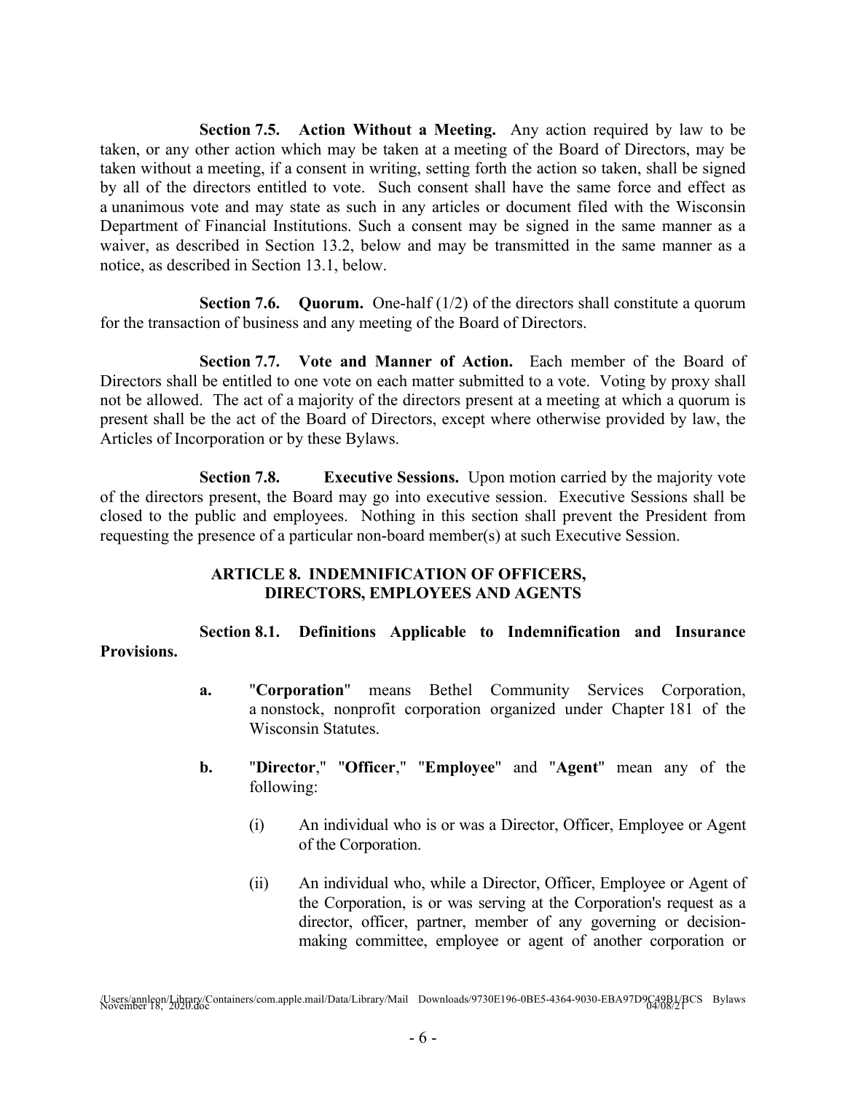**Section 7.5. Action Without a Meeting.** Any action required by law to be taken, or any other action which may be taken at a meeting of the Board of Directors, may be taken without a meeting, if a consent in writing, setting forth the action so taken, shall be signed by all of the directors entitled to vote. Such consent shall have the same force and effect as a unanimous vote and may state as such in any articles or document filed with the Wisconsin Department of Financial Institutions. Such a consent may be signed in the same manner as a waiver, as described in Section 13.2, below and may be transmitted in the same manner as a notice, as described in Section 13.1, below.

**Section 7.6. Quorum.** One-half (1/2) of the directors shall constitute a quorum for the transaction of business and any meeting of the Board of Directors.

**Section 7.7. Vote and Manner of Action.** Each member of the Board of Directors shall be entitled to one vote on each matter submitted to a vote. Voting by proxy shall not be allowed. The act of a majority of the directors present at a meeting at which a quorum is present shall be the act of the Board of Directors, except where otherwise provided by law, the Articles of Incorporation or by these Bylaws.

**Section 7.8. Executive Sessions.** Upon motion carried by the majority vote of the directors present, the Board may go into executive session. Executive Sessions shall be closed to the public and employees. Nothing in this section shall prevent the President from requesting the presence of a particular non-board member(s) at such Executive Session.

# **ARTICLE 8. INDEMNIFICATION OF OFFICERS, DIRECTORS, EMPLOYEES AND AGENTS**

**Section 8.1. Definitions Applicable to Indemnification and Insurance Provisions.**

- **a.** "**Corporation**" means Bethel Community Services Corporation, a nonstock, nonprofit corporation organized under Chapter 181 of the Wisconsin Statutes.
- **b.** "**Director**," "**Officer**," "**Employee**" and "**Agent**" mean any of the following:
	- (i) An individual who is or was a Director, Officer, Employee or Agent of the Corporation.
	- (ii) An individual who, while a Director, Officer, Employee or Agent of the Corporation, is or was serving at the Corporation's request as a director, officer, partner, member of any governing or decisionmaking committee, employee or agent of another corporation or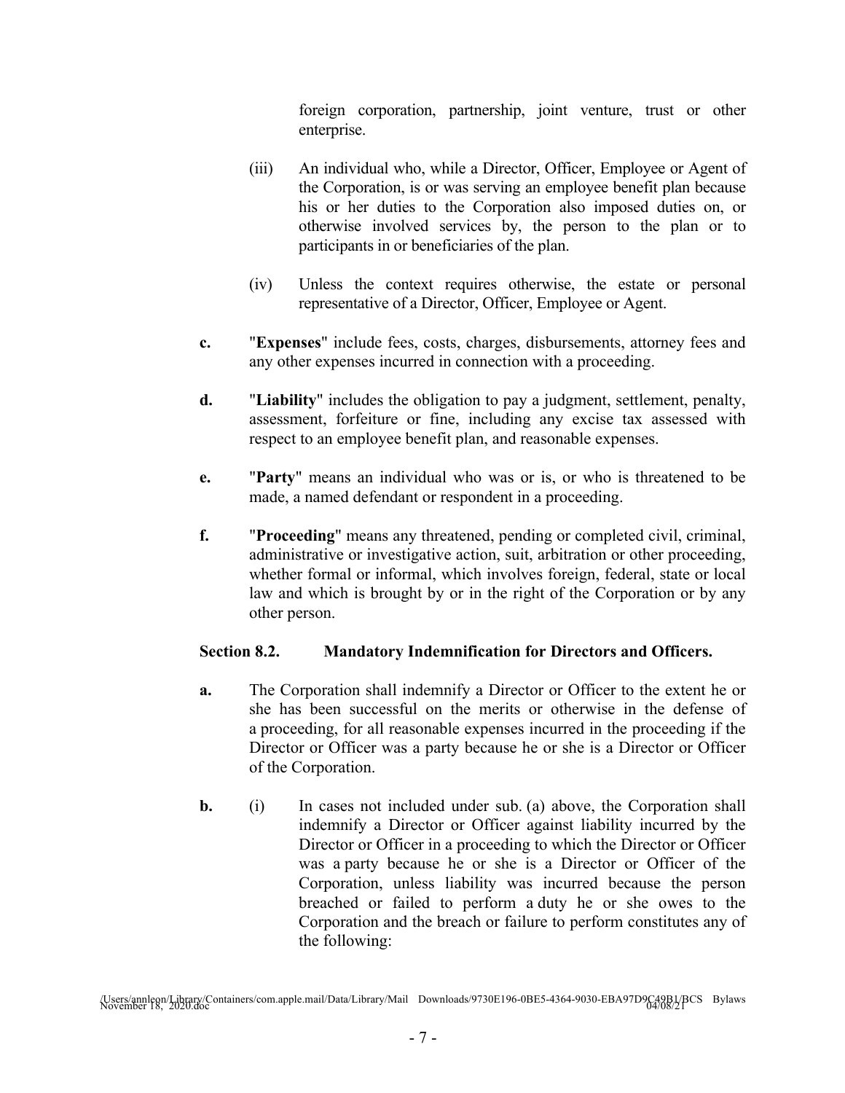foreign corporation, partnership, joint venture, trust or other enterprise.

- (iii) An individual who, while a Director, Officer, Employee or Agent of the Corporation, is or was serving an employee benefit plan because his or her duties to the Corporation also imposed duties on, or otherwise involved services by, the person to the plan or to participants in or beneficiaries of the plan.
- (iv) Unless the context requires otherwise, the estate or personal representative of a Director, Officer, Employee or Agent.
- **c.** "**Expenses**" include fees, costs, charges, disbursements, attorney fees and any other expenses incurred in connection with a proceeding.
- **d.** "**Liability**" includes the obligation to pay a judgment, settlement, penalty, assessment, forfeiture or fine, including any excise tax assessed with respect to an employee benefit plan, and reasonable expenses.
- **e.** "**Party**" means an individual who was or is, or who is threatened to be made, a named defendant or respondent in a proceeding.
- **f.** "**Proceeding**" means any threatened, pending or completed civil, criminal, administrative or investigative action, suit, arbitration or other proceeding, whether formal or informal, which involves foreign, federal, state or local law and which is brought by or in the right of the Corporation or by any other person.

# **Section 8.2. Mandatory Indemnification for Directors and Officers.**

- **a.** The Corporation shall indemnify a Director or Officer to the extent he or she has been successful on the merits or otherwise in the defense of a proceeding, for all reasonable expenses incurred in the proceeding if the Director or Officer was a party because he or she is a Director or Officer of the Corporation.
- **b.** (i) In cases not included under sub. (a) above, the Corporation shall indemnify a Director or Officer against liability incurred by the Director or Officer in a proceeding to which the Director or Officer was a party because he or she is a Director or Officer of the Corporation, unless liability was incurred because the person breached or failed to perform a duty he or she owes to the Corporation and the breach or failure to perform constitutes any of the following:

<sup>/</sup>Users/annleon/Library/Containers/com.apple.mail/Data/Library/Mail Downloads/9730E196-0BE5-4364-9030-EBA97D9C49B1/BCS Bylaws November 18, 2020.doc 04/08/21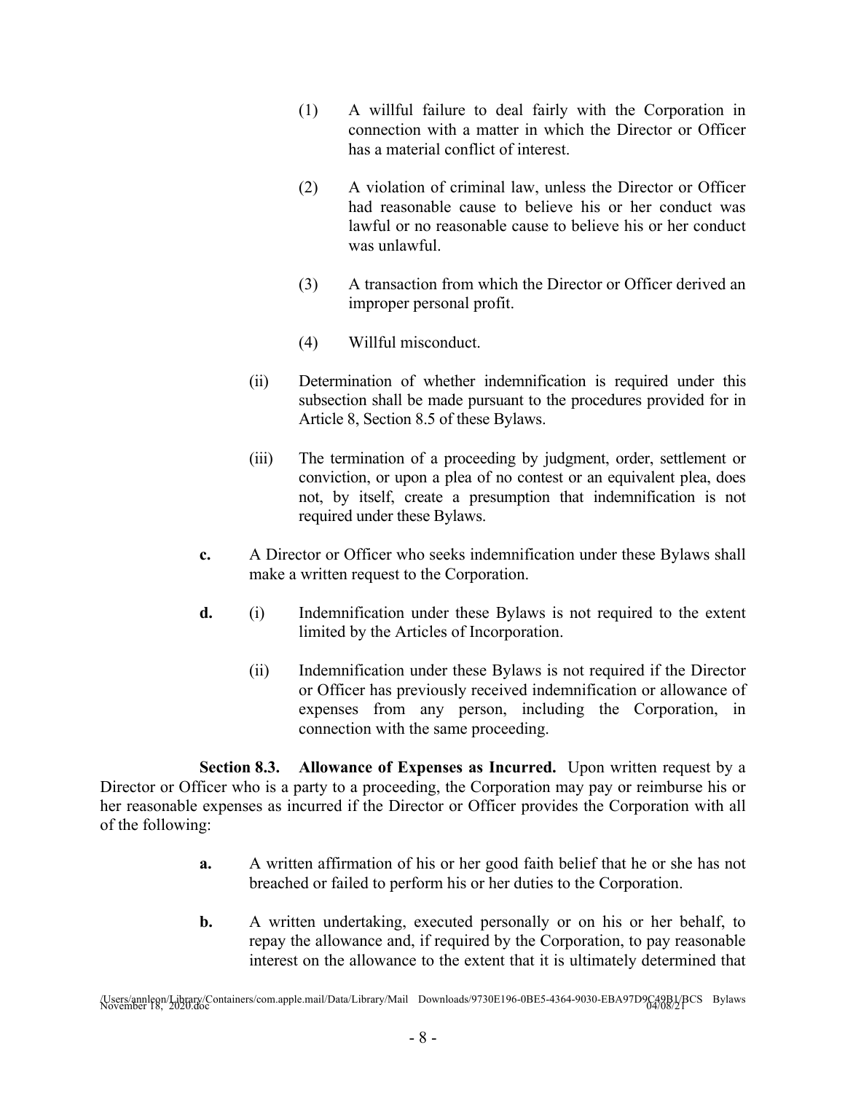- (1) A willful failure to deal fairly with the Corporation in connection with a matter in which the Director or Officer has a material conflict of interest.
- (2) A violation of criminal law, unless the Director or Officer had reasonable cause to believe his or her conduct was lawful or no reasonable cause to believe his or her conduct was unlawful.
- (3) A transaction from which the Director or Officer derived an improper personal profit.
- (4) Willful misconduct.
- (ii) Determination of whether indemnification is required under this subsection shall be made pursuant to the procedures provided for in Article 8, Section 8.5 of these Bylaws.
- (iii) The termination of a proceeding by judgment, order, settlement or conviction, or upon a plea of no contest or an equivalent plea, does not, by itself, create a presumption that indemnification is not required under these Bylaws.
- **c.** A Director or Officer who seeks indemnification under these Bylaws shall make a written request to the Corporation.
- **d.** (i) Indemnification under these Bylaws is not required to the extent limited by the Articles of Incorporation.
	- (ii) Indemnification under these Bylaws is not required if the Director or Officer has previously received indemnification or allowance of expenses from any person, including the Corporation, in connection with the same proceeding.

**Section 8.3. Allowance of Expenses as Incurred.** Upon written request by a Director or Officer who is a party to a proceeding, the Corporation may pay or reimburse his or her reasonable expenses as incurred if the Director or Officer provides the Corporation with all of the following:

- **a.** A written affirmation of his or her good faith belief that he or she has not breached or failed to perform his or her duties to the Corporation.
- **b.** A written undertaking, executed personally or on his or her behalf, to repay the allowance and, if required by the Corporation, to pay reasonable interest on the allowance to the extent that it is ultimately determined that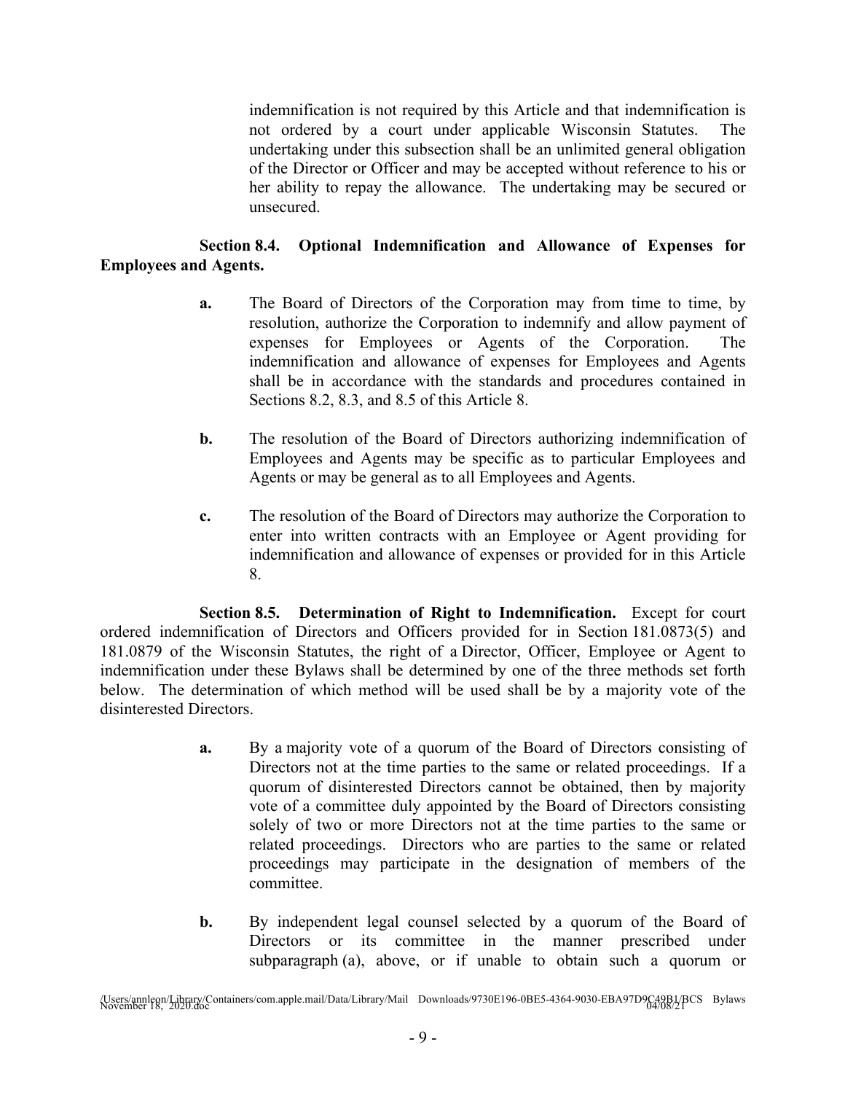indemnification is not required by this Article and that indemnification is not ordered by a court under applicable Wisconsin Statutes. The undertaking under this subsection shall be an unlimited general obligation of the Director or Officer and may be accepted without reference to his or her ability to repay the allowance. The undertaking may be secured or unsecured.

# **Section 8.4. Optional Indemnification and Allowance of Expenses for Employees and Agents.**

- **a.** The Board of Directors of the Corporation may from time to time, by resolution, authorize the Corporation to indemnify and allow payment of expenses for Employees or Agents of the Corporation. The indemnification and allowance of expenses for Employees and Agents shall be in accordance with the standards and procedures contained in Sections 8.2, 8.3, and 8.5 of this Article 8.
- **b.** The resolution of the Board of Directors authorizing indemnification of Employees and Agents may be specific as to particular Employees and Agents or may be general as to all Employees and Agents.
- **c.** The resolution of the Board of Directors may authorize the Corporation to enter into written contracts with an Employee or Agent providing for indemnification and allowance of expenses or provided for in this Article 8.

**Section 8.5. Determination of Right to Indemnification.** Except for court ordered indemnification of Directors and Officers provided for in Section 181.0873(5) and 181.0879 of the Wisconsin Statutes, the right of a Director, Officer, Employee or Agent to indemnification under these Bylaws shall be determined by one of the three methods set forth below. The determination of which method will be used shall be by a majority vote of the disinterested Directors.

- **a.** By a majority vote of a quorum of the Board of Directors consisting of Directors not at the time parties to the same or related proceedings. If a quorum of disinterested Directors cannot be obtained, then by majority vote of a committee duly appointed by the Board of Directors consisting solely of two or more Directors not at the time parties to the same or related proceedings. Directors who are parties to the same or related proceedings may participate in the designation of members of the committee.
- **b.** By independent legal counsel selected by a quorum of the Board of Directors or its committee in the manner prescribed under subparagraph (a), above, or if unable to obtain such a quorum or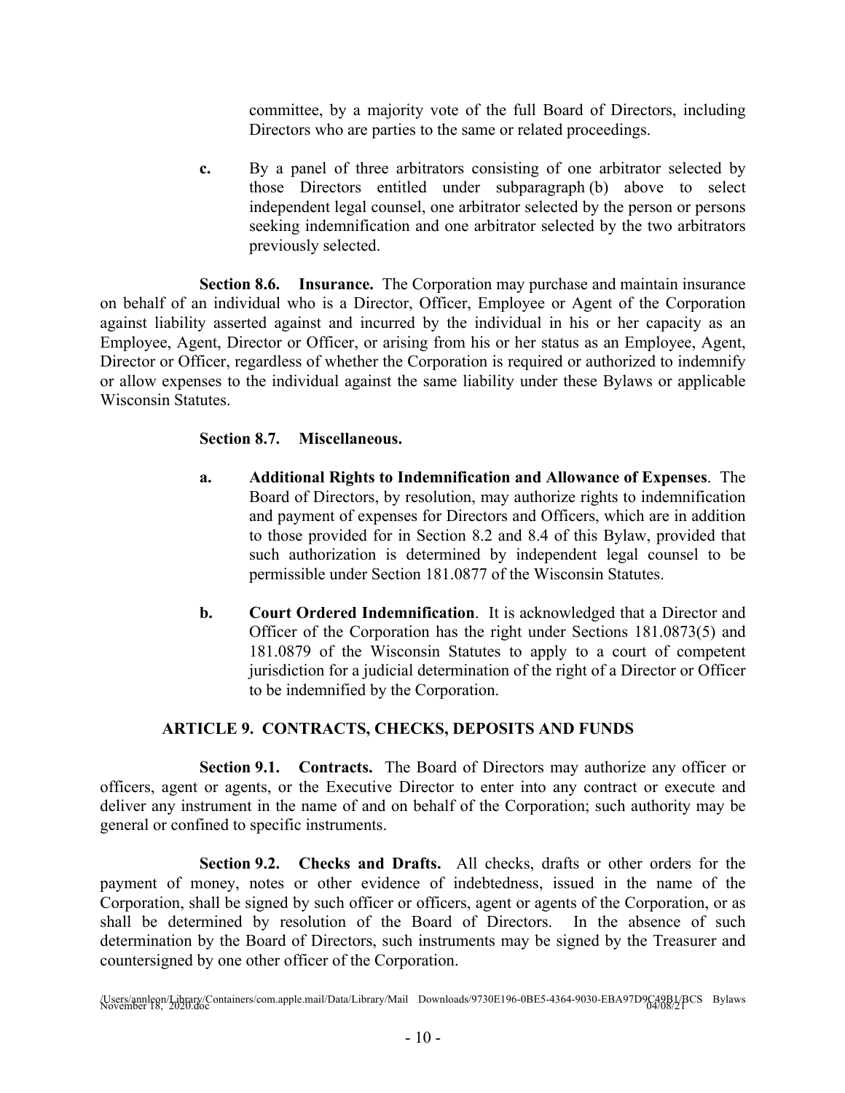committee, by a majority vote of the full Board of Directors, including Directors who are parties to the same or related proceedings.

**c.** By a panel of three arbitrators consisting of one arbitrator selected by those Directors entitled under subparagraph (b) above to select independent legal counsel, one arbitrator selected by the person or persons seeking indemnification and one arbitrator selected by the two arbitrators previously selected.

**Section 8.6. Insurance.** The Corporation may purchase and maintain insurance on behalf of an individual who is a Director, Officer, Employee or Agent of the Corporation against liability asserted against and incurred by the individual in his or her capacity as an Employee, Agent, Director or Officer, or arising from his or her status as an Employee, Agent, Director or Officer, regardless of whether the Corporation is required or authorized to indemnify or allow expenses to the individual against the same liability under these Bylaws or applicable Wisconsin Statutes.

## **Section 8.7. Miscellaneous.**

- **a. Additional Rights to Indemnification and Allowance of Expenses**. The Board of Directors, by resolution, may authorize rights to indemnification and payment of expenses for Directors and Officers, which are in addition to those provided for in Section 8.2 and 8.4 of this Bylaw, provided that such authorization is determined by independent legal counsel to be permissible under Section 181.0877 of the Wisconsin Statutes.
- **b. Court Ordered Indemnification**. It is acknowledged that a Director and Officer of the Corporation has the right under Sections 181.0873(5) and 181.0879 of the Wisconsin Statutes to apply to a court of competent jurisdiction for a judicial determination of the right of a Director or Officer to be indemnified by the Corporation.

# **ARTICLE 9. CONTRACTS, CHECKS, DEPOSITS AND FUNDS**

**Section 9.1. Contracts.** The Board of Directors may authorize any officer or officers, agent or agents, or the Executive Director to enter into any contract or execute and deliver any instrument in the name of and on behalf of the Corporation; such authority may be general or confined to specific instruments.

**Section 9.2. Checks and Drafts.** All checks, drafts or other orders for the payment of money, notes or other evidence of indebtedness, issued in the name of the Corporation, shall be signed by such officer or officers, agent or agents of the Corporation, or as shall be determined by resolution of the Board of Directors. In the absence of such determination by the Board of Directors, such instruments may be signed by the Treasurer and countersigned by one other officer of the Corporation.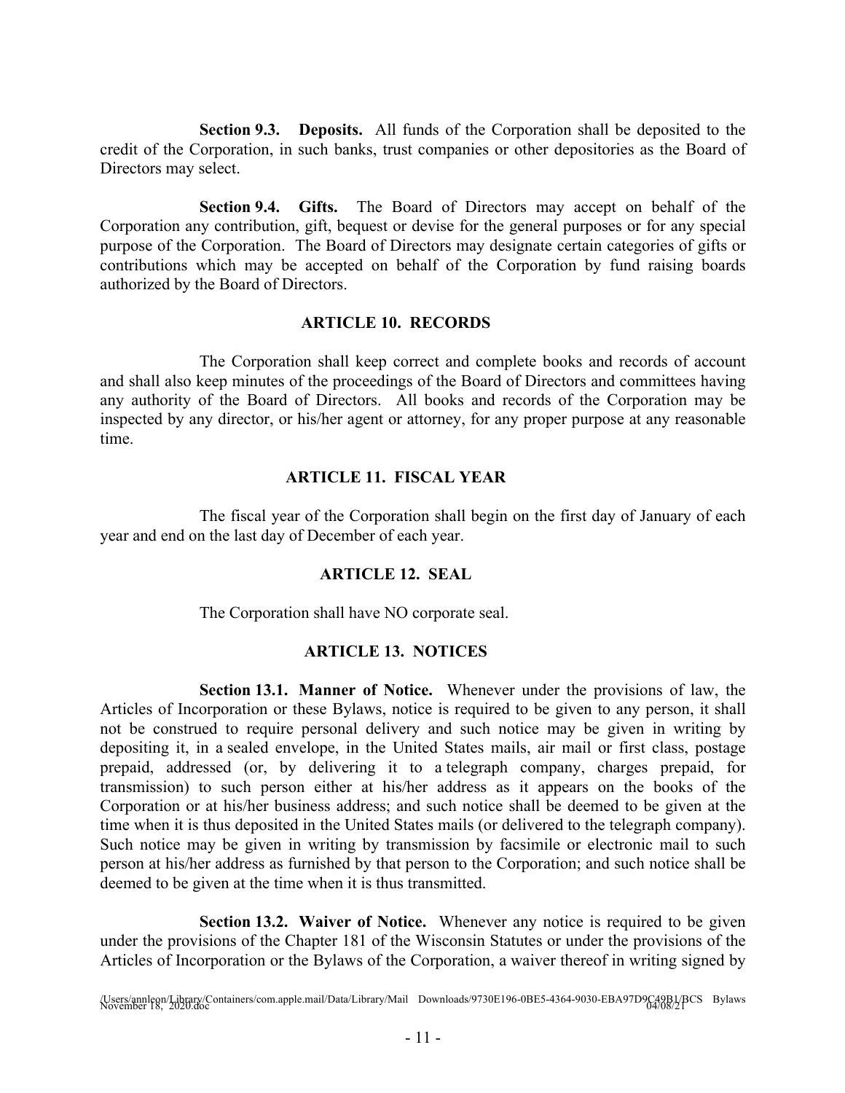**Section 9.3. Deposits.** All funds of the Corporation shall be deposited to the credit of the Corporation, in such banks, trust companies or other depositories as the Board of Directors may select.

**Section 9.4. Gifts.** The Board of Directors may accept on behalf of the Corporation any contribution, gift, bequest or devise for the general purposes or for any special purpose of the Corporation. The Board of Directors may designate certain categories of gifts or contributions which may be accepted on behalf of the Corporation by fund raising boards authorized by the Board of Directors.

#### **ARTICLE 10. RECORDS**

The Corporation shall keep correct and complete books and records of account and shall also keep minutes of the proceedings of the Board of Directors and committees having any authority of the Board of Directors. All books and records of the Corporation may be inspected by any director, or his/her agent or attorney, for any proper purpose at any reasonable time.

## **ARTICLE 11. FISCAL YEAR**

The fiscal year of the Corporation shall begin on the first day of January of each year and end on the last day of December of each year.

## **ARTICLE 12. SEAL**

The Corporation shall have NO corporate seal.

## **ARTICLE 13. NOTICES**

**Section 13.1. Manner of Notice.** Whenever under the provisions of law, the Articles of Incorporation or these Bylaws, notice is required to be given to any person, it shall not be construed to require personal delivery and such notice may be given in writing by depositing it, in a sealed envelope, in the United States mails, air mail or first class, postage prepaid, addressed (or, by delivering it to a telegraph company, charges prepaid, for transmission) to such person either at his/her address as it appears on the books of the Corporation or at his/her business address; and such notice shall be deemed to be given at the time when it is thus deposited in the United States mails (or delivered to the telegraph company). Such notice may be given in writing by transmission by facsimile or electronic mail to such person at his/her address as furnished by that person to the Corporation; and such notice shall be deemed to be given at the time when it is thus transmitted.

**Section 13.2. Waiver of Notice.** Whenever any notice is required to be given under the provisions of the Chapter 181 of the Wisconsin Statutes or under the provisions of the Articles of Incorporation or the Bylaws of the Corporation, a waiver thereof in writing signed by